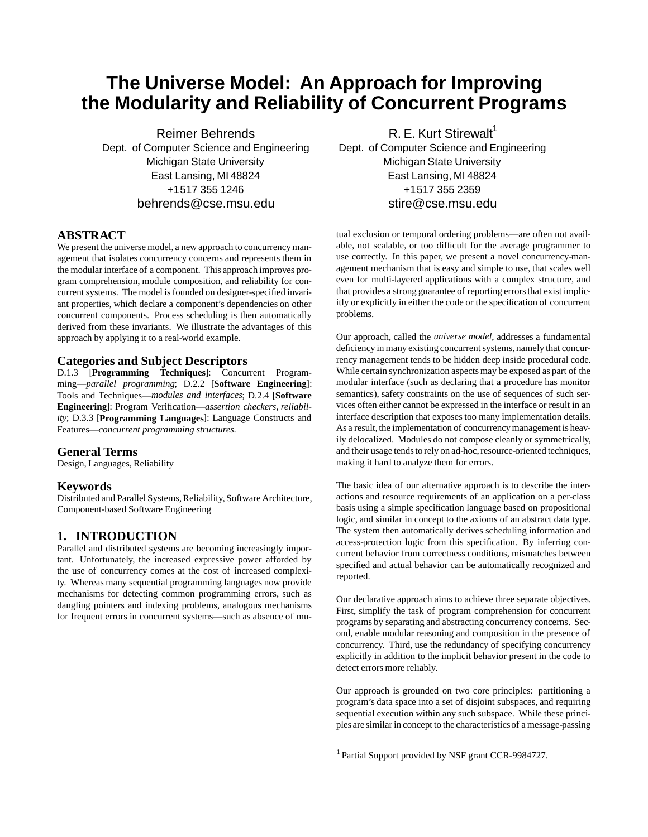# **The Universe Model: An Approach for Improving the Modularity and Reliability of Concurrent Programs**

Reimer Behrends Dept. of Computer Science and Engineering Michigan State University East Lansing, MI48824 +1517 355 1246 behrends@cse.msu.edu

# **ABSTRACT**

We present the universe model, a new approach to concurrency management that isolates concurrency concerns and represents them in the modular interface of a component. This approach improves program comprehension, module composition, and reliability for concurrent systems. The model isfounded on designer-specified invariant properties, which declare a component's dependencies on other concurrent components. Process scheduling is then automatically derived from these invariants. We illustrate the advantages of this approach by applying it to a real-world example.

# **Categories and Subject Descriptors**

D.1.3 [**Programming Techniques**]: Concurrent Programming—*parallel programming*; D.2.2 [**Software Engineering**]: Tools and Techniques—*modules and interfaces*; D.2.4 [**Software Engineering**]: Program Verification—*assertion checkers, reliability*; D.3.3 [**Programming Languages**]: Language Constructs and Features—*concurrent programming structures*.

#### **General Terms**

Design, Languages, Reliability

#### **Keywords**

Distributed and Parallel Systems, Reliability, Software Architecture, Component-based Software Engineering

# **1. INTRODUCTION**

Parallel and distributed systems are becoming increasingly important. Unfortunately, the increased expressive power afforded by the use of concurrency comes at the cost of increased complexity. Whereas many sequential programming languages now provide mechanisms for detecting common programming errors, such as dangling pointers and indexing problems, analogous mechanisms for frequent errors in concurrent systems—such as absence of mu-

R. E. Kurt Stirewalt<sup>1</sup> Dept. of Computer Science and Engineering Michigan State University East Lansing, MI48824 +1517 355 2359 stire@cse.msu.edu

tual exclusion or temporal ordering problems—are often not available, not scalable, or too difficult for the average programmer to use correctly. In this paper, we present a novel concurrency-management mechanism that is easy and simple to use, that scales well even for multi-layered applications with a complex structure, and that provides a strong guarantee of reporting errors that exist implicitly or explicitly in either the code or the specification of concurrent problems.

Our approach, called the *universe model*, addresses a fundamental deficiency in many existing concurrent systems, namely that concurrency management tends to be hidden deep inside procedural code. While certain synchronization aspects may be exposed as part of the modular interface (such as declaring that a procedure has monitor semantics), safety constraints on the use of sequences of such services often either cannot be expressed in the interface or result in an interface description that exposes too many implementation details. As a result, the implementation of concurrency management is heavily delocalized. Modules do not compose cleanly or symmetrically, and their usage tends to rely on ad-hoc, resource-oriented techniques, making it hard to analyze them for errors.

The basic idea of our alternative approach is to describe the interactions and resource requirements of an application on a per-class basis using a simple specification language based on propositional logic, and similar in concept to the axioms of an abstract data type. The system then automatically derives scheduling information and access-protection logic from this specification. By inferring concurrent behavior from correctness conditions, mismatches between specified and actual behavior can be automatically recognized and reported.

Our declarative approach aims to achieve three separate objectives. First, simplify the task of program comprehension for concurrent programs by separating and abstracting concurrency concerns. Second, enable modular reasoning and composition in the presence of concurrency. Third, use the redundancy of specifying concurrency explicitly in addition to the implicit behavior present in the code to detect errors more reliably.

Our approach is grounded on two core principles: partitioning a program's data space into a set of disjoint subspaces, and requiring sequential execution within any such subspace. While these principles are similarin concept to the characteristicsof a message-passing

<sup>&</sup>lt;sup>1</sup> Partial Support provided by NSF grant CCR-9984727.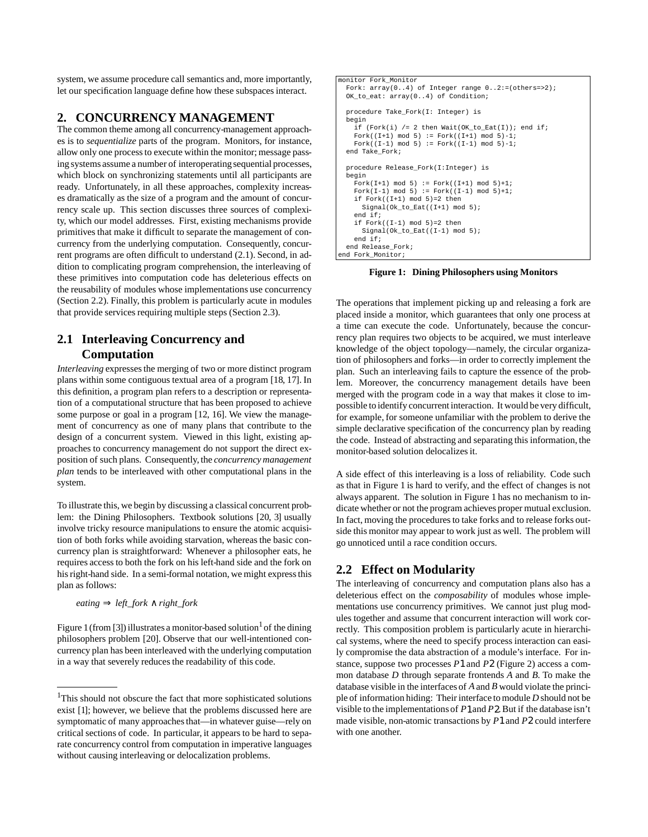system, we assume procedure call semantics and, more importantly, let our specification language define how these subspaces interact.

#### **2. CONCURRENCY MANAGEMENT**

The common theme among all concurrency-management approaches is to *sequentialize* parts of the program. Monitors, for instance, allow only one processto execute within the monitor; message passing systems assume a number of interoperating sequential processes, which block on synchronizing statements until all participants are ready. Unfortunately, in all these approaches, complexity increases dramatically as the size of a program and the amount of concurrency scale up. This section discusses three sources of complexity, which our model addresses. First, existing mechanisms provide primitives that make it difficult to separate the management of concurrency from the underlying computation. Consequently, concurrent programs are often difficult to understand (2.1). Second, in addition to complicating program comprehension, the interleaving of these primitives into computation code has deleterious effects on the reusability of modules whose implementations use concurrency (Section 2.2). Finally, this problem is particularly acute in modules that provide services requiring multiple steps (Section 2.3).

# **2.1 Interleaving Concurrency and Computation**

*Interleaving* expresses the merging of two or more distinct program plans within some contiguous textual area of a program [18, 17]. In this definition, a program plan refers to a description or representation of a computational structure that has been proposed to achieve some purpose or goal in a program [12, 16]. We view the management of concurrency as one of many plans that contribute to the design of a concurrent system. Viewed in this light, existing approaches to concurrency management do not support the direct exposition of such plans. Consequently,the *concurrency management plan* tends to be interleaved with other computational plans in the system.

To illustrate this, we begin by discussing a classical concurrent problem: the Dining Philosophers. Textbook solutions [20, 3] usually involve tricky resource manipulations to ensure the atomic acquisition of both forks while avoiding starvation, whereas the basic concurrency plan is straightforward: Whenever a philosopher eats, he requires accessto both the fork on his left-hand side and the fork on hisright-hand side. In a semi-formal notation, we might expressthis plan as follows:

```
eating ⇒ left_fork ∧ right_fork
```
Figure 1 (from [3]) illustrates a monitor-based solution<sup>1</sup> of the dining philosophers problem [20]. Observe that our well-intentioned concurrency plan has been interleaved with the underlying computation in a way that severely reduces the readability of this code.

```
monitor Fork_Monitor
  Fork: array(0..4) of Integer range 0..2:=(others=>2);
 OK to eat: array(0..4) of Condition;
  procedure Take_Fork(I: Integer) is
  .<br>begin
    if (Fork(i) /= 2 then Wait(OK_to\_Ext(I)); end if;
    Fork((I+1) mod 5) := Fork((I+1) mod 5)-1;Fork((I-1) \mod 5) := Fork((I-1) \mod 5)-1;
  end Take_Fork;
  procedure Release_Fork(I:Integer) is
   begin
    Fork(I+1) mod 5 := Fork((I+1) mod 5)+1;
    Fork(I-1) mod 5) := Fork((I-1) mod 5)+1;
    if Fork((I+1) mod 5)=2 then
     Signal(Ok to Eat((I+1) mod 5);
     end if;
    if Fork((I-1) mod 5)=2 then
       Signal(Ok_to_Eat((I-1) mod 5);
     end if;
  end Release_Fork;
end Fork Monitor;
```
**Figure 1: Dining Philosophers using Monitors**

The operations that implement picking up and releasing a fork are placed inside a monitor, which guarantees that only one process at a time can execute the code. Unfortunately, because the concurrency plan requires two objects to be acquired, we must interleave knowledge of the object topology—namely, the circular organization of philosophers and forks—in order to correctly implement the plan. Such an interleaving fails to capture the essence of the problem. Moreover, the concurrency management details have been merged with the program code in a way that makes it close to impossible to identify concurrent interaction. It would be very difficult, for example, for someone unfamiliar with the problem to derive the simple declarative specification of the concurrency plan by reading the code. Instead of abstracting and separating this information, the monitor-based solution delocalizesit.

A side effect of this interleaving is a loss of reliability. Code such as that in Figure 1 is hard to verify, and the effect of changes is not always apparent. The solution in Figure 1 has no mechanism to indicate whether or not the program achieves proper mutual exclusion. In fact, moving the procedures to take forks and to release forks outside this monitor may appear to work just as well. The problem will go unnoticed until a race condition occurs.

# **2.2 Effect on Modularity**

The interleaving of concurrency and computation plans also has a deleterious effect on the *composability* of modules whose implementations use concurrency primitives. We cannot just plug modules together and assume that concurrent interaction will work correctly. This composition problem is particularly acute in hierarchical systems, where the need to specify process interaction can easily compromise the data abstraction of a module's interface. For instance, suppose two processes *P*1 and *P*2 (Figure 2) access a common database *D* through separate frontends *A* and *B*. To make the database visible in the interfaces of *A* and *B* would violate the principle of information hiding: Their interface to module *D* should not be visible to the implementations of *P*1and *P*2.But if the database isn't made visible, non-atomic transactions by *P*1 and *P*2 could interfere with one another.

<sup>&</sup>lt;sup>1</sup>This should not obscure the fact that more sophisticated solutions exist [1]; however, we believe that the problems discussed here are symptomatic of many approaches that—in whatever guise—rely on critical sections of code. In particular, it appears to be hard to separate concurrency control from computation in imperative languages without causing interleaving or delocalization problems.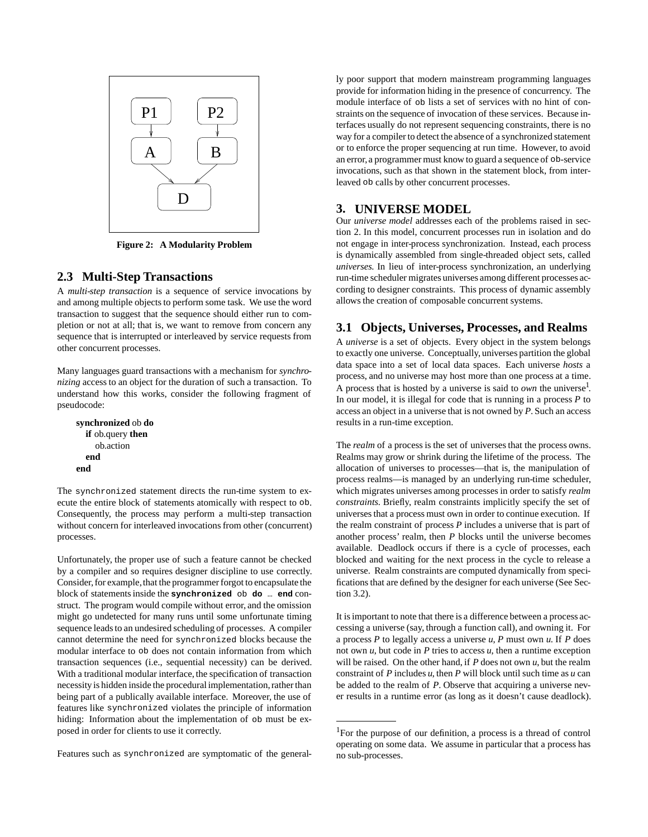

**Figure 2: A Modularity Problem**

#### **2.3 Multi-Step Transactions**

A *multi-step transaction* is a sequence of service invocations by and among multiple objects to perform some task. We use the word transaction to suggest that the sequence should either run to completion or not at all; that is, we want to remove from concern any sequence that is interrupted or interleaved by service requests from other concurrent processes.

Many languages guard transactions with a mechanism for *synchronizing* access to an object for the duration of such a transaction. To understand how this works, consider the following fragment of pseudocode:

```
synchronized ob do
  if ob.query then
    ob.action
  end
end
```
The synchronized statement directs the run-time system to execute the entire block of statements atomically with respect to ob. Consequently, the process may perform a multi-step transaction without concern for interleaved invocations from other (concurrent) processes.

Unfortunately, the proper use of such a feature cannot be checked by a compiler and so requires designer discipline to use correctly. Consider, for example, that the programmer forgot to encapsulate the block of statementsinside the **synchronized** ob **do** … **end** construct. The program would compile without error, and the omission might go undetected for many runs until some unfortunate timing sequence leads to an undesired scheduling of processes. A compiler cannot determine the need for synchronized blocks because the modular interface to ob does not contain information from which transaction sequences (i.e., sequential necessity) can be derived. With a traditional modular interface, the specification of transaction necessity is hidden inside the procedural implementation, rather than being part of a publically available interface. Moreover, the use of features like synchronized violates the principle of information hiding: Information about the implementation of ob must be exposed in order for clients to use it correctly.

Features such as synchronized are symptomatic of the general-

ly poor support that modern mainstream programming languages provide for information hiding in the presence of concurrency. The module interface of ob lists a set of services with no hint of constraints on the sequence of invocation of these services. Because interfaces usually do not represent sequencing constraints, there is no way for a compiler to detect the absence of a synchronized statement or to enforce the proper sequencing at run time. However, to avoid an error, a programmer must know to guard a sequence of ob-service invocations, such as that shown in the statement block, from interleaved ob calls by other concurrent processes.

#### **3. UNIVERSE MODEL**

Our *universe model* addresses each of the problems raised in section 2. In this model, concurrent processes run in isolation and do not engage in inter-process synchronization. Instead, each process is dynamically assembled from single-threaded object sets, called *universes*. In lieu of inter-process synchronization, an underlying run-time scheduler migrates universes among different processes according to designer constraints. This process of dynamic assembly allows the creation of composable concurrent systems.

#### **3.1 Objects, Universes, Processes, and Realms**

A *universe* is a set of objects. Every object in the system belongs to exactly one universe. Conceptually, universes partition the global data space into a set of local data spaces. Each universe *hosts* a process, and no universe may host more than one process at a time. A process that is hosted by a universe is said to *own* the universe<sup>1</sup>. In our model, it is illegal for code that is running in a process *P* to access an object in a universe that is not owned by *P*. Such an access results in a run-time exception.

The *realm* of a process is the set of universes that the process owns. Realms may grow or shrink during the lifetime of the process. The allocation of universes to processes—that is, the manipulation of process realms—is managed by an underlying run-time scheduler, which migrates universes among processes in order to satisfy *realm constraints*. Briefly, realm constraints implicitly specify the set of universesthat a process must own in order to continue execution. If the realm constraint of process *P* includes a universe that is part of another process' realm, then *P* blocks until the universe becomes available. Deadlock occurs if there is a cycle of processes, each blocked and waiting for the next process in the cycle to release a universe. Realm constraints are computed dynamically from specificationsthat are defined by the designer for each universe (See Section 3.2).

It isimportant to note that there is a difference between a process accessing a universe (say, through a function call), and owning it. For a process *P* to legally access a universe *u*, *P* must own *u*. If *P* does not own  $u$ , but code in  $P$  tries to access  $u$ , then a runtime exception will be raised. On the other hand, if *P* does not own *u*, but the realm constraint of *P* includes *u*, then *P* will block until such time as *u* can be added to the realm of *P*. Observe that acquiring a universe never results in a runtime error (as long as it doesn't cause deadlock).

<sup>&</sup>lt;sup>1</sup>For the purpose of our definition, a process is a thread of control operating on some data. We assume in particular that a process has no sub-processes.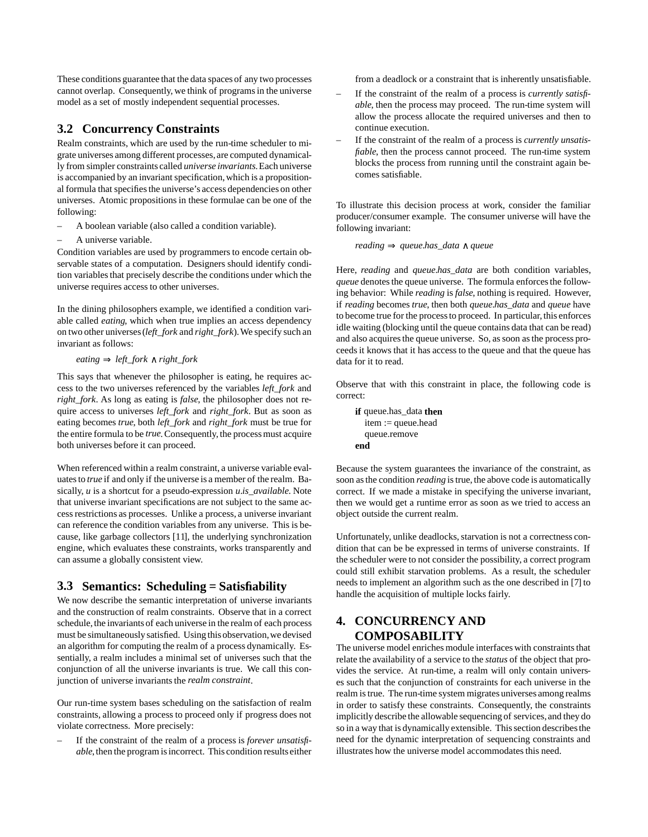These conditions guarantee that the data spaces of any two processes cannot overlap. Consequently, we think of programsin the universe model as a set of mostly independent sequential processes.

# **3.2 Concurrency Constraints**

Realm constraints, which are used by the run-time scheduler to migrate universes among different processes, are computed dynamically from simpler constraints called *universe invariants*.Each universe is accompanied by an invariant specification, which is a propositional formula that specifies the universe's access dependencies on other universes. Atomic propositions in these formulae can be one of the following:

- A boolean variable (also called a condition variable).
- A universe variable.

Condition variables are used by programmers to encode certain observable states of a computation. Designers should identify condition variables that precisely describe the conditions under which the universe requires access to other universes.

In the dining philosophers example, we identified a condition variable called *eating*, which when true implies an access dependency on two other universes(*left\_fork* and *right\_fork*).We specify such an invariant as follows:

*eating* ⇒ *left\_fork* ∧ *right\_fork*

This says that whenever the philosopher is eating, he requires access to the two universes referenced by the variables *left\_fork* and *right\_fork*. As long as eating is *false*, the philosopher does not require access to universes *left\_fork* and *right\_fork*. But as soon as eating becomes *true*, both *left\_fork* and *right\_fork* must be true for the entire formula to be *true*. Consequently, the process must acquire both universes before it can proceed.

When referenced within a realm constraint, a universe variable evaluates to *true* if and only if the universe is a member of the realm. Basically, *u* is a shortcut for a pseudo-expression *u.is\_available*. Note that universe invariant specifications are not subject to the same accessrestrictions as processes. Unlike a process, a universe invariant can reference the condition variables from any universe. This is because, like garbage collectors [11], the underlying synchronization engine, which evaluates these constraints, works transparently and can assume a globally consistent view.

# **3.3 Semantics: Scheduling = Satisfiability**

We now describe the semantic interpretation of universe invariants and the construction of realm constraints. Observe that in a correct schedule, the invariants of each universe in the realm of each process must be simultaneously satisfied. Using this observation, we devised an algorithm for computing the realm of a process dynamically. Essentially, a realm includes a minimal set of universes such that the conjunction of all the universe invariants is true. We call this conjunction of universe invariants the *realm constraint*.

Our run-time system bases scheduling on the satisfaction of realm constraints, allowing a process to proceed only if progress does not violate correctness. More precisely:

– If the constraint of the realm of a process is *forever unsatisfiable*, then the program is incorrect. This condition results either from a deadlock or a constraint that is inherently unsatisfiable.

- If the constraint of the realm of a process is *currently satisfiable*, then the process may proceed. The run-time system will allow the process allocate the required universes and then to continue execution.
- If the constraint of the realm of a process is *currently unsatisfiable*, then the process cannot proceed. The run-time system blocks the process from running until the constraint again becomes satisfiable.

To illustrate this decision process at work, consider the familiar producer/consumer example. The consumer universe will have the following invariant:

*reading* ⇒ *queue.has\_data* ∧ *queue*

Here, *reading* and *queue.has\_data* are both condition variables, *queue* denotes the queue universe. The formula enforces the following behavior: While *reading* is *false*, nothing is required. However, if *reading* becomes *true*, then both *queue.has\_data* and *queue* have to become true for the process to proceed. In particular, this enforces idle waiting (blocking until the queue contains data that can be read) and also acquires the queue universe. So, as soon as the process proceeds it knows that it has accessto the queue and that the queue has data for it to read.

Observe that with this constraint in place, the following code is correct:

```
if queue.has_data then
  item := queue.head
  queue.remove
end
```
Because the system guarantees the invariance of the constraint, as soon asthe condition *reading* istrue, the above code is automatically correct. If we made a mistake in specifying the universe invariant, then we would get a runtime error as soon as we tried to access an object outside the current realm.

Unfortunately, unlike deadlocks, starvation is not a correctness condition that can be be expressed in terms of universe constraints. If the scheduler were to not consider the possibility, a correct program could still exhibit starvation problems. As a result, the scheduler needs to implement an algorithm such as the one described in [7] to handle the acquisition of multiple locks fairly.

# **4. CONCURRENCY AND COMPOSABILITY**

The universe model enriches module interfaces with constraints that relate the availability of a service to the *status* of the object that provides the service. At run-time, a realm will only contain universes such that the conjunction of constraints for each universe in the realm istrue. The run-time system migrates universes among realms in order to satisfy these constraints. Consequently, the constraints implicitly describe the allowable sequencing of services, and they do so in a way that is dynamically extensible. This section describes the need for the dynamic interpretation of sequencing constraints and illustrates how the universe model accommodates this need.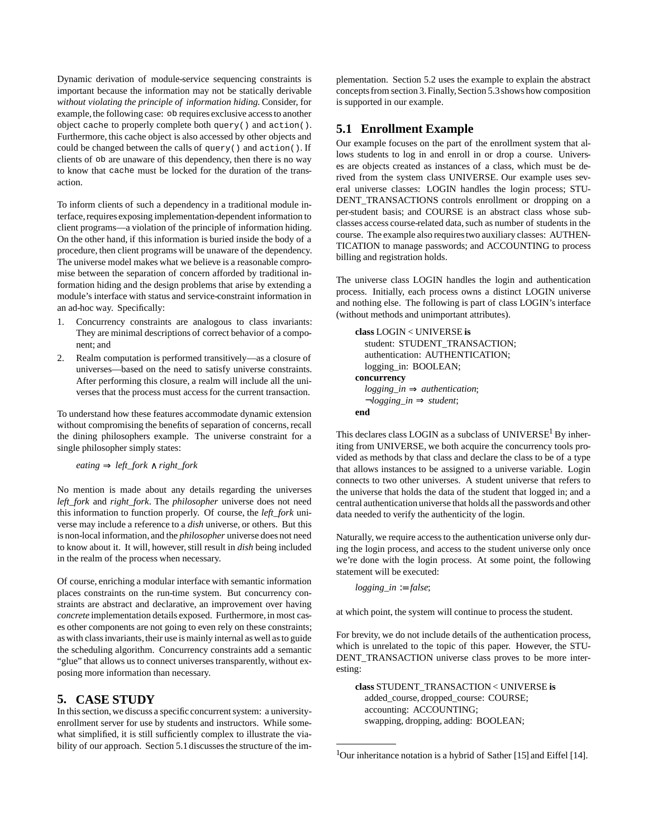Dynamic derivation of module-service sequencing constraints is important because the information may not be statically derivable *without violating the principle of information hiding*. Consider, for example, the following case: ob requires exclusive access to another object cache to properly complete both query() and action(). Furthermore, this cache object is also accessed by other objects and could be changed between the calls of query() and action(). If clients of ob are unaware of this dependency, then there is no way to know that cache must be locked for the duration of the transaction.

To inform clients of such a dependency in a traditional module interface, requires exposing implementation-dependent information to client programs—a violation of the principle of information hiding. On the other hand, if this information is buried inside the body of a procedure, then client programs will be unaware of the dependency. The universe model makes what we believe is a reasonable compromise between the separation of concern afforded by traditional information hiding and the design problems that arise by extending a module's interface with status and service-constraint information in an ad-hoc way. Specifically:

- 1. Concurrency constraints are analogous to class invariants: They are minimal descriptions of correct behavior of a component; and
- 2. Realm computation is performed transitively—as a closure of universes—based on the need to satisfy universe constraints. After performing this closure, a realm will include all the universes that the process must accessfor the current transaction.

To understand how these features accommodate dynamic extension without compromising the benefits of separation of concerns, recall the dining philosophers example. The universe constraint for a single philosopher simply states:

*eating* ⇒ *left\_fork* ∧ *right\_fork*

No mention is made about any details regarding the universes *left\_fork* and *right\_fork*. The *philosopher* universe does not need this information to function properly. Of course, the *left\_fork* universe may include a reference to a *dish* universe, or others. But this is non-local information, and the *philosopher* universe does not need to know about it. It will, however, still result in *dish* being included in the realm of the process when necessary.

Of course, enriching a modular interface with semantic information places constraints on the run-time system. But concurrency constraints are abstract and declarative, an improvement over having *concrete* implementation details exposed. Furthermore, in most cases other components are not going to even rely on these constraints; as with class invariants, their use is mainly internal as well as to guide the scheduling algorithm. Concurrency constraints add a semantic "glue" that allows us to connect universes transparently, without exposing more information than necessary.

# **5. CASE STUDY**

In this section, we discuss a specific concurrent system: a universityenrollment server for use by students and instructors. While somewhat simplified, it is still sufficiently complex to illustrate the viability of our approach. Section 5.1 discusses the structure of the im-

plementation. Section 5.2 uses the example to explain the abstract concepts from section 3. Finally, Section 5.3 shows how composition is supported in our example.

# **5.1 Enrollment Example**

Our example focuses on the part of the enrollment system that allows students to log in and enroll in or drop a course. Universes are objects created as instances of a class, which must be derived from the system class UNIVERSE. Our example uses several universe classes: LOGIN handles the login process; STU-DENT\_TRANSACTIONS controls enrollment or dropping on a per-student basis; and COURSE is an abstract class whose subclasses access course-related data, such as number of students in the course. The example also requirestwo auxiliary classes: AUTHEN-TICATION to manage passwords; and ACCOUNTING to process billing and registration holds.

The universe class LOGIN handles the login and authentication process. Initially, each process owns a distinct LOGIN universe and nothing else. The following is part of class LOGIN's interface (without methods and unimportant attributes).

```
class LOGIN < UNIVERSE is
  student: STUDENT_TRANSACTION;
   authentication: AUTHENTICATION;
   logging_in: BOOLEAN;
concurrency
   logging_in ⇒ authentication;
   ¬logging_in ⇒ student;
end
```
This declares class LOGIN as a subclass of UNIVERSE<sup>1</sup> By inheriting from UNIVERSE, we both acquire the concurrency tools provided as methods by that class and declare the class to be of a type that allows instances to be assigned to a universe variable. Login connects to two other universes. A student universe that refers to the universe that holds the data of the student that logged in; and a central authentication universe that holds all the passwords and other data needed to verify the authenticity of the login.

Naturally, we require accessto the authentication universe only during the login process, and access to the student universe only once we're done with the login process. At some point, the following statement will be executed:

*logging\_in* := *false*;

at which point, the system will continue to process the student.

For brevity, we do not include details of the authentication process, which is unrelated to the topic of this paper. However, the STU-DENT\_TRANSACTION universe class proves to be more interesting:

**class** STUDENT\_TRANSACTION < UNIVERSE **is** added\_course, dropped\_course: COURSE; accounting: ACCOUNTING; swapping, dropping, adding: BOOLEAN;

<sup>&</sup>lt;sup>1</sup>Our inheritance notation is a hybrid of Sather [15] and Eiffel [14].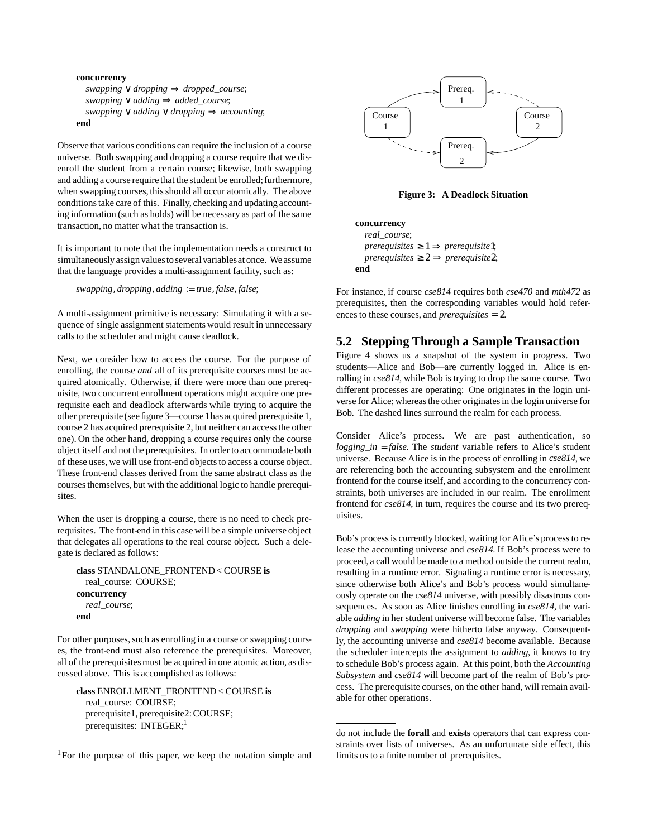```
concurrency
   swapping ∨ dropping ⇒ dropped_course;
   swapping ∨ adding ⇒ added_course;
  swapping \vee adding \vee dropping \Rightarrow accounting;
end
```
Observe that various conditions can require the inclusion of a course universe. Both swapping and dropping a course require that we disenroll the student from a certain course; likewise, both swapping and adding a course require that the student be enrolled; furthermore, when swapping courses, this should all occur atomically. The above conditionstake care of this. Finally, checking and updating accounting information (such as holds) will be necessary as part of the same transaction, no matter what the transaction is.

It is important to note that the implementation needs a construct to simultaneously assign values to several variables at once. We assume that the language provides a multi-assignment facility, such as:

*swapping*, *dropping*, *adding* := *true*, *false*, *false*;

A multi-assignment primitive is necessary: Simulating it with a sequence of single assignment statements would result in unnecessary calls to the scheduler and might cause deadlock.

Next, we consider how to access the course. For the purpose of enrolling, the course *and* all of its prerequisite courses must be acquired atomically. Otherwise, if there were more than one prerequisite, two concurrent enrollment operations might acquire one prerequisite each and deadlock afterwards while trying to acquire the other prerequisite (seefigure 3—course 1has acquired prerequisite1, course 2 has acquired prerequisite 2, but neither can accessthe other one). On the other hand, dropping a course requires only the course object itself and not the prerequisites. In order to accommodate both of these uses, we will use front-end objectsto access a course object. These front-end classes derived from the same abstract class as the coursesthemselves, but with the additional logic to handle prerequisites.

When the user is dropping a course, there is no need to check prerequisites. The front-end in this case will be a simple universe object that delegates all operations to the real course object. Such a delegate is declared as follows:

```
class STANDALONE_FRONTEND< COURSE is
  real_course: COURSE;
concurrency
   real_course;
end
```
For other purposes, such as enrolling in a course or swapping courses, the front-end must also reference the prerequisites. Moreover, all of the prerequisites must be acquired in one atomic action, as discussed above. This is accomplished as follows:

**class** ENROLLMENT\_FRONTEND< COURSE **is** real\_course: COURSE; prerequisite1, prerequisite2: COURSE; prerequisites: INTEGER;<sup>1</sup>



**Figure 3: A Deadlock Situation**

**concurrency** *real\_course*;  $prerequires \geq 1 \Rightarrow prerequisite1;$  $prerequires \geq 2 \implies prerequires$ **end**

For instance, if course *cse814* requires both *cse470* and *mth472* as prerequisites, then the corresponding variables would hold references to these courses, and *prerequisites* = 2.

#### **5.2 Stepping Through a Sample Transaction**

Figure 4 shows us a snapshot of the system in progress. Two students—Alice and Bob—are currently logged in. Alice is enrolling in *cse814*, while Bob is trying to drop the same course. Two different processes are operating: One originates in the login universe for Alice;whereasthe other originatesin the login universe for Bob. The dashed lines surround the realm for each process.

Consider Alice's process. We are past authentication, so *logging\_in* = *false*. The *student* variable refers to Alice's student universe. Because Alice is in the process of enrolling in *cse814*, we are referencing both the accounting subsystem and the enrollment frontend for the course itself, and according to the concurrency constraints, both universes are included in our realm. The enrollment frontend for *cse814*, in turn, requires the course and its two prerequisites.

Bob's process is currently blocked, waiting for Alice's process to release the accounting universe and *cse814*. If Bob's process were to proceed, a call would be made to a method outside the current realm, resulting in a runtime error. Signaling a runtime error is necessary, since otherwise both Alice's and Bob's process would simultaneously operate on the *cse814* universe, with possibly disastrous consequences. As soon as Alice finishes enrolling in *cse814*, the variable *adding* in her student universe will become false. The variables *dropping* and *swapping* were hitherto false anyway. Consequently, the accounting universe and *cse814* become available. Because the scheduler intercepts the assignment to *adding*, it knows to try to schedule Bob's process again. At this point, both the *Accounting Subsystem* and *cse814* will become part of the realm of Bob's process. The prerequisite courses, on the other hand, will remain available for other operations.

<sup>&</sup>lt;sup>1</sup>For the purpose of this paper, we keep the notation simple and

do not include the **forall** and **exists** operators that can express constraints over lists of universes. As an unfortunate side effect, this limits us to a finite number of prerequisites.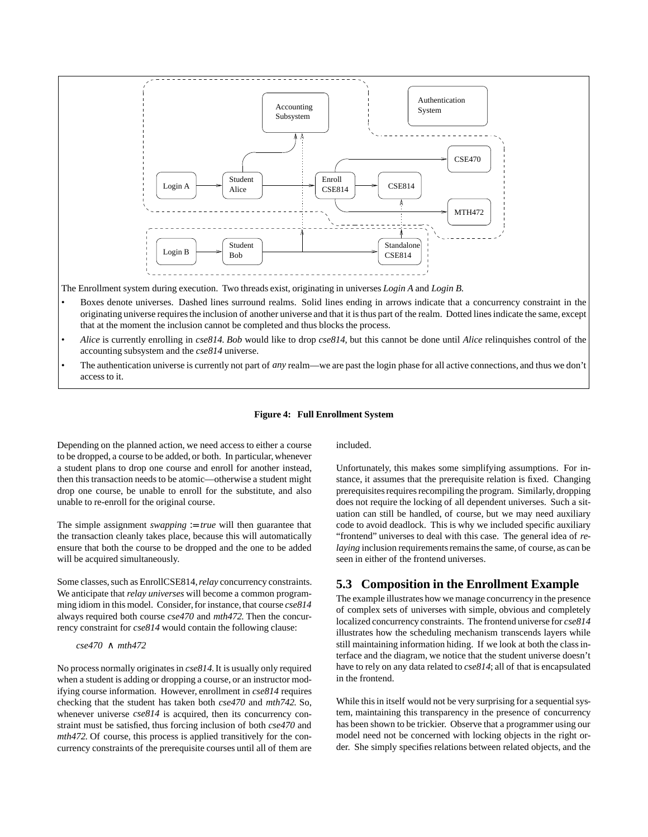

The Enrollment system during execution. Two threads exist, originating in universes *Login A* and *Login B*.

- Boxes denote universes. Dashed lines surround realms. Solid lines ending in arrows indicate that a concurrency constraint in the originating universe requiresthe inclusion of another universe and that it isthus part of the realm. Dotted linesindicate the same, except that at the moment the inclusion cannot be completed and thus blocks the process.
- *Alice* is currently enrolling in *cse814*. *Bob* would like to drop *cse814*, but this cannot be done until *Alice* relinquishes control of the accounting subsystem and the *cse814* universe.
- The authentication universe is currently not part of *any* realm—we are past the login phase for all active connections, and thus we don't accessto it.

#### **Figure 4: Full Enrollment System**

Depending on the planned action, we need access to either a course to be dropped, a course to be added, or both. In particular,whenever a student plans to drop one course and enroll for another instead, then this transaction needs to be atomic—otherwise a student might drop one course, be unable to enroll for the substitute, and also unable to re-enroll for the original course.

The simple assignment *swapping*  $:= true$  will then guarantee that the transaction cleanly takes place, because this will automatically ensure that both the course to be dropped and the one to be added will be acquired simultaneously.

Some classes, such as EnrollCSE814, *relay* concurrency constraints. We anticipate that *relay universes* will become a common programming idiom in this model. Consider, for instance, that course  $cse814$ always required both course *cse470* and *mth472*. Then the concurrency constraint for *cse814* would contain the following clause:

#### *cse470* ∧ *mth472*

No process normally originatesin *cse814*.It is usually only required when a student is adding or dropping a course, or an instructor modifying course information. However, enrollment in *cse814* requires checking that the student has taken both *cse470* and *mth742*. So, whenever universe  $cse814$  is acquired, then its concurrency constraint must be satisfied, thus forcing inclusion of both *cse470* and *mth472*. Of course, this process is applied transitively for the concurrency constraints of the prerequisite courses until all of them are

included.

Unfortunately, this makes some simplifying assumptions. For instance, it assumes that the prerequisite relation is fixed. Changing prerequisites requires recompiling the program. Similarly, dropping does not require the locking of all dependent universes. Such a situation can still be handled, of course, but we may need auxiliary code to avoid deadlock. This is why we included specific auxiliary "frontend" universes to deal with this case. The general idea of *relaying* inclusion requirements remains the same, of course, as can be seen in either of the frontend universes.

#### **5.3 Composition in the Enrollment Example**

The example illustrates how we manage concurrency in the presence of complex sets of universes with simple, obvious and completely localized concurrency constraints. The frontend universe for *cse814* illustrates how the scheduling mechanism transcends layers while still maintaining information hiding. If we look at both the class interface and the diagram, we notice that the student universe doesn't have to rely on any data related to *cse814*; all of that is encapsulated in the frontend.

While this in itself would not be very surprising for a sequential system, maintaining this transparency in the presence of concurrency has been shown to be trickier. Observe that a programmer using our model need not be concerned with locking objects in the right order. She simply specifies relations between related objects, and the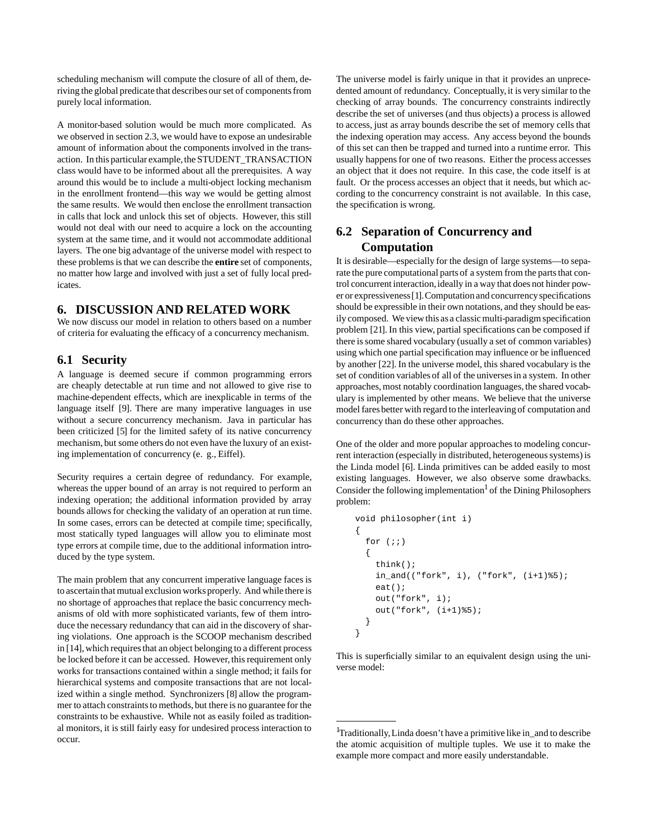scheduling mechanism will compute the closure of all of them, deriving the global predicate that describes ourset of componentsfrom purely local information.

A monitor-based solution would be much more complicated. As we observed in section 2.3, we would have to expose an undesirable amount of information about the components involved in the transaction. In this particular example, the STUDENT\_TRANSACTION class would have to be informed about all the prerequisites. A way around this would be to include a multi-object locking mechanism in the enrollment frontend—this way we would be getting almost the same results. We would then enclose the enrollment transaction in calls that lock and unlock this set of objects. However, this still would not deal with our need to acquire a lock on the accounting system at the same time, and it would not accommodate additional layers. The one big advantage of the universe model with respect to these problems is that we can describe the **entire** set of components, no matter how large and involved with just a set of fully local predicates.

# **6. DISCUSSION AND RELATED WORK**

We now discuss our model in relation to others based on a number of criteria for evaluating the efficacy of a concurrency mechanism.

#### **6.1 Security**

A language is deemed secure if common programming errors are cheaply detectable at run time and not allowed to give rise to machine-dependent effects, which are inexplicable in terms of the language itself [9]. There are many imperative languages in use without a secure concurrency mechanism. Java in particular has been criticized [5] for the limited safety of its native concurrency mechanism, but some others do not even have the luxury of an existing implementation of concurrency (e. g., Eiffel).

Security requires a certain degree of redundancy. For example, whereas the upper bound of an array is not required to perform an indexing operation; the additional information provided by array bounds allows for checking the validaty of an operation at run time. In some cases, errors can be detected at compile time; specifically, most statically typed languages will allow you to eliminate most type errors at compile time, due to the additional information introduced by the type system.

The main problem that any concurrent imperative language faces is to ascertain that mutual exclusion works properly. And while there is no shortage of approaches that replace the basic concurrency mechanisms of old with more sophisticated variants, few of them introduce the necessary redundancy that can aid in the discovery of sharing violations. One approach is the SCOOP mechanism described in [14], which requires that an object belonging to a different process be locked before it can be accessed. However, this requirement only works for transactions contained within a single method; it fails for hierarchical systems and composite transactions that are not localized within a single method. Synchronizers [8] allow the programmer to attach constraints to methods, but there is no guarantee for the constraints to be exhaustive. While not as easily foiled as traditional monitors, it is still fairly easy for undesired process interaction to occur.

The universe model is fairly unique in that it provides an unprecedented amount of redundancy. Conceptually, it is very similar to the checking of array bounds. The concurrency constraints indirectly describe the set of universes (and thus objects) a process is allowed to access, just as array bounds describe the set of memory cells that the indexing operation may access. Any access beyond the bounds of this set can then be trapped and turned into a runtime error. This usually happensfor one of two reasons. Either the process accesses an object that it does not require. In this case, the code itself is at fault. Or the process accesses an object that it needs, but which according to the concurrency constraint is not available. In this case, the specification is wrong.

# **6.2 Separation of Concurrency and Computation**

It is desirable—especially for the design of large systems—to separate the pure computational parts of a system from the parts that control concurrent interaction, ideally in a way that does not hinder power or expressiveness[1].Computation and concurrencyspecifications should be expressible in their own notations, and they should be easily composed. We viewthis as a classicmulti-paradigm specification problem [21]. In this view, partial specifications can be composed if there issome shared vocabulary (usually a set of common variables) using which one partial specification may influence or be influenced by another [22]. In the universe model, this shared vocabulary is the set of condition variables of all of the universesin a system. In other approaches, most notably coordination languages, the shared vocabulary is implemented by other means. We believe that the universe model faresbetter with regard to the interleaving of computation and concurrency than do these other approaches.

One of the older and more popular approaches to modeling concurrent interaction (especially in distributed, heterogeneous systems) is the Linda model [6]. Linda primitives can be added easily to most existing languages. However, we also observe some drawbacks. Consider the following implementation<sup>1</sup> of the Dining Philosophers problem:

```
void philosopher(int i)
{
  for (i; j) {
     think();
    in\_and( ("fork", i), ("fork", (i+1)%5);
     eat();
     out("fork", i);
     out("fork", (i+1)%5);
   }
}
```
This is superficially similar to an equivalent design using the universe model:

<sup>&</sup>lt;sup>1</sup>Traditionally, Linda doesn't have a primitive like in\_and to describe the atomic acquisition of multiple tuples. We use it to make the example more compact and more easily understandable.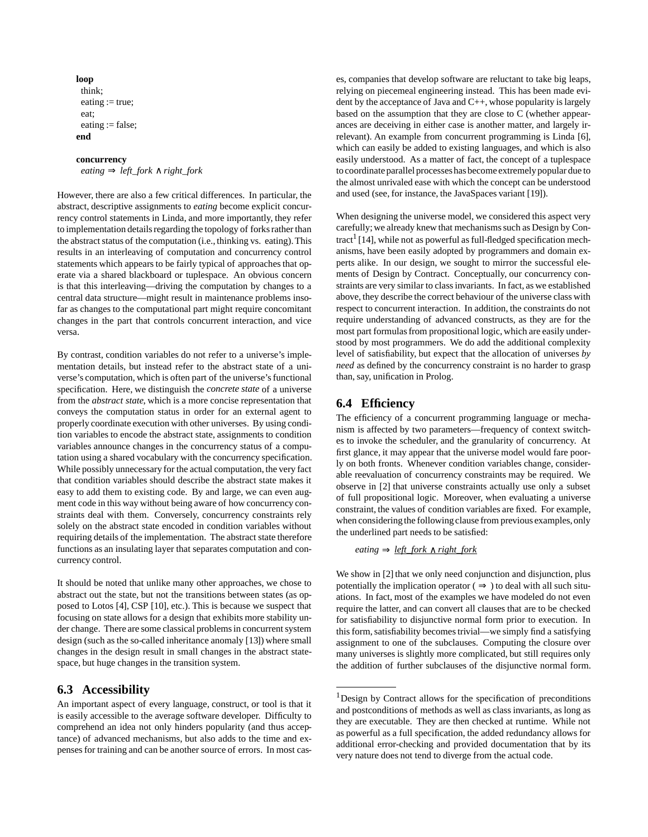```
loop
 think;
 eating := true;
 eat;
 eating := false;
end
```
#### **concurrency**

*eating* ⇒ *left\_fork* ∧ *right\_fork*

However, there are also a few critical differences. In particular, the abstract, descriptive assignments to *eating* become explicit concurrency control statements in Linda, and more importantly, they refer to implementation details regarding the topology of forks rather than the abstract status of the computation (i.e., thinking vs. eating). This results in an interleaving of computation and concurrency control statements which appears to be fairly typical of approaches that operate via a shared blackboard or tuplespace. An obvious concern is that this interleaving—driving the computation by changes to a central data structure—might result in maintenance problems insofar as changes to the computational part might require concomitant changes in the part that controls concurrent interaction, and vice versa.

By contrast, condition variables do not refer to a universe's implementation details, but instead refer to the abstract state of a universe's computation, which is often part of the universe's functional specification. Here, we distinguish the *concrete state* of a universe from the *abstract state*, which is a more concise representation that conveys the computation status in order for an external agent to properly coordinate execution with other universes. By using condition variables to encode the abstract state, assignments to condition variables announce changes in the concurrency status of a computation using a shared vocabulary with the concurrency specification. While possibly unnecessary for the actual computation, the very fact that condition variables should describe the abstract state makes it easy to add them to existing code. By and large, we can even augment code in this way without being aware of how concurrency constraints deal with them. Conversely, concurrency constraints rely solely on the abstract state encoded in condition variables without requiring details of the implementation. The abstract state therefore functions as an insulating layer that separates computation and concurrency control.

It should be noted that unlike many other approaches, we chose to abstract out the state, but not the transitions between states (as opposed to Lotos [4], CSP [10], etc.). This is because we suspect that focusing on state allows for a design that exhibits more stability under change. There are some classical problems in concurrent system design (such as the so-called inheritance anomaly [13]) where small changes in the design result in small changes in the abstract statespace, but huge changes in the transition system.

#### **6.3 Accessibility**

An important aspect of every language, construct, or tool is that it is easily accessible to the average software developer. Difficulty to comprehend an idea not only hinders popularity (and thus acceptance) of advanced mechanisms, but also adds to the time and expensesfor training and can be another source of errors. In most cases, companies that develop software are reluctant to take big leaps, relying on piecemeal engineering instead. This has been made evident by the acceptance of Java and  $C_{++}$ , whose popularity is largely based on the assumption that they are close to C (whether appearances are deceiving in either case is another matter, and largely irrelevant). An example from concurrent programming is Linda [6], which can easily be added to existing languages, and which is also easily understood. As a matter of fact, the concept of a tuplespace to coordinate parallel processes has become extremely popular due to the almost unrivaled ease with which the concept can be understood and used (see, for instance, the JavaSpaces variant [19]).

When designing the universe model, we considered this aspect very carefully; we already knew that mechanisms such as Design by Contract<sup>1</sup> [14], while not as powerful as full-fledged specification mechanisms, have been easily adopted by programmers and domain experts alike. In our design, we sought to mirror the successful elements of Design by Contract. Conceptually, our concurrency constraints are very similar to classinvariants. In fact, as we established above, they describe the correct behaviour of the universe class with respect to concurrent interaction. In addition, the constraints do not require understanding of advanced constructs, as they are for the most part formulas from propositional logic, which are easily understood by most programmers. We do add the additional complexity level of satisfiability, but expect that the allocation of universes *by need* as defined by the concurrency constraint is no harder to grasp than, say, unification in Prolog.

# **6.4 Efficiency**

The efficiency of a concurrent programming language or mechanism is affected by two parameters—frequency of context switches to invoke the scheduler, and the granularity of concurrency. At first glance, it may appear that the universe model would fare poorly on both fronts. Whenever condition variables change, considerable reevaluation of concurrency constraints may be required. We observe in [2] that universe constraints actually use only a subset of full propositional logic. Moreover, when evaluating a universe constraint, the values of condition variables are fixed. For example, when considering the following clause from previous examples, only the underlined part needs to be satisfied:

 $eating \Rightarrow \underline{left}$  *fork*  $\wedge$  *right fork* 

We show in [2] that we only need conjunction and disjunction, plus potentially the implication operator ( $\Rightarrow$ ) to deal with all such situations. In fact, most of the examples we have modeled do not even require the latter, and can convert all clauses that are to be checked for satisfiability to disjunctive normal form prior to execution. In this form, satisfiability becomes trivial—we simply find a satisfying assignment to one of the subclauses. Computing the closure over many universes is slightly more complicated, but still requires only the addition of further subclauses of the disjunctive normal form.

 $1$ Design by Contract allows for the specification of preconditions and postconditions of methods as well as class invariants, as long as they are executable. They are then checked at runtime. While not as powerful as a full specification, the added redundancy allows for additional error-checking and provided documentation that by its very nature does not tend to diverge from the actual code.